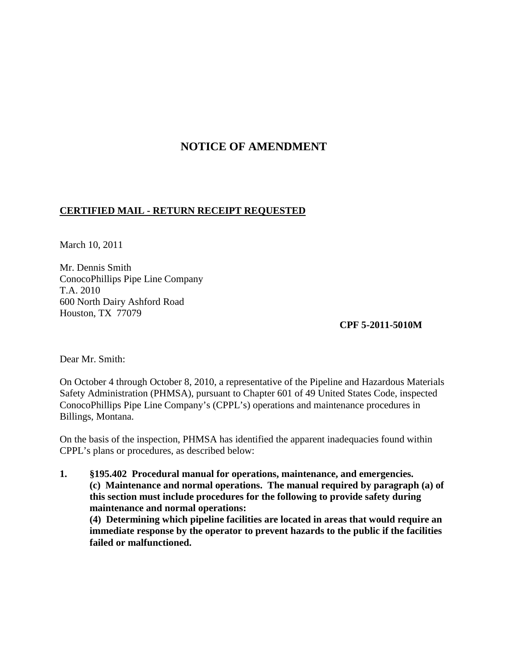## **NOTICE OF AMENDMENT**

## **CERTIFIED MAIL - RETURN RECEIPT REQUESTED**

March 10, 2011

Mr. Dennis Smith ConocoPhillips Pipe Line Company T.A. 2010 600 North Dairy Ashford Road Houston, TX 77079

 **CPF 5-2011-5010M**

Dear Mr. Smith:

On October 4 through October 8, 2010, a representative of the Pipeline and Hazardous Materials Safety Administration (PHMSA), pursuant to Chapter 601 of 49 United States Code, inspected ConocoPhillips Pipe Line Company's (CPPL's) operations and maintenance procedures in Billings, Montana.

On the basis of the inspection, PHMSA has identified the apparent inadequacies found within CPPL's plans or procedures, as described below:

**1. §195.402 Procedural manual for operations, maintenance, and emergencies. (c) Maintenance and normal operations. The manual required by paragraph (a) of this section must include procedures for the following to provide safety during maintenance and normal operations: (4) Determining which pipeline facilities are located in areas that would require an** 

**immediate response by the operator to prevent hazards to the public if the facilities failed or malfunctioned.**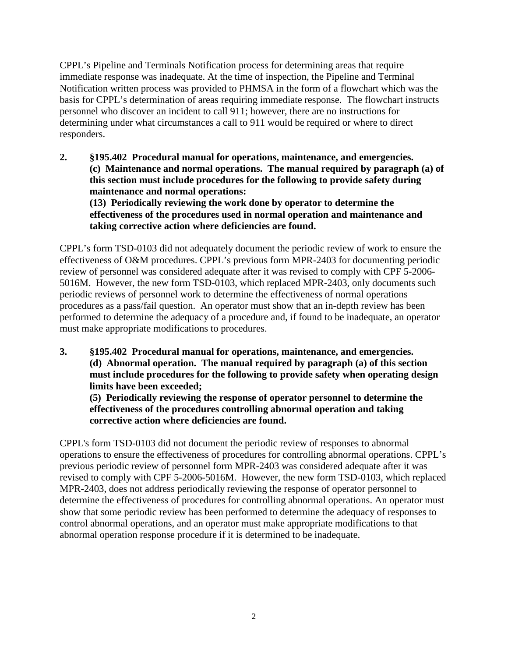CPPL's Pipeline and Terminals Notification process for determining areas that require immediate response was inadequate. At the time of inspection, the Pipeline and Terminal Notification written process was provided to PHMSA in the form of a flowchart which was the basis for CPPL's determination of areas requiring immediate response. The flowchart instructs personnel who discover an incident to call 911; however, there are no instructions for determining under what circumstances a call to 911 would be required or where to direct responders.

**2. §195.402 Procedural manual for operations, maintenance, and emergencies. (c) Maintenance and normal operations. The manual required by paragraph (a) of this section must include procedures for the following to provide safety during maintenance and normal operations: (13) Periodically reviewing the work done by operator to determine the effectiveness of the procedures used in normal operation and maintenance and** 

**taking corrective action where deficiencies are found.**

CPPL's form TSD-0103 did not adequately document the periodic review of work to ensure the effectiveness of O&M procedures. CPPL's previous form MPR-2403 for documenting periodic review of personnel was considered adequate after it was revised to comply with CPF 5-2006- 5016M. However, the new form TSD-0103, which replaced MPR-2403, only documents such periodic reviews of personnel work to determine the effectiveness of normal operations procedures as a pass/fail question. An operator must show that an in-depth review has been performed to determine the adequacy of a procedure and, if found to be inadequate, an operator must make appropriate modifications to procedures.

**3. §195.402 Procedural manual for operations, maintenance, and emergencies. (d) Abnormal operation. The manual required by paragraph (a) of this section must include procedures for the following to provide safety when operating design limits have been exceeded;**

**(5) Periodically reviewing the response of operator personnel to determine the effectiveness of the procedures controlling abnormal operation and taking corrective action where deficiencies are found.**

CPPL's form TSD-0103 did not document the periodic review of responses to abnormal operations to ensure the effectiveness of procedures for controlling abnormal operations. CPPL's previous periodic review of personnel form MPR-2403 was considered adequate after it was revised to comply with CPF 5-2006-5016M. However, the new form TSD-0103, which replaced MPR-2403, does not address periodically reviewing the response of operator personnel to determine the effectiveness of procedures for controlling abnormal operations. An operator must show that some periodic review has been performed to determine the adequacy of responses to control abnormal operations, and an operator must make appropriate modifications to that abnormal operation response procedure if it is determined to be inadequate.